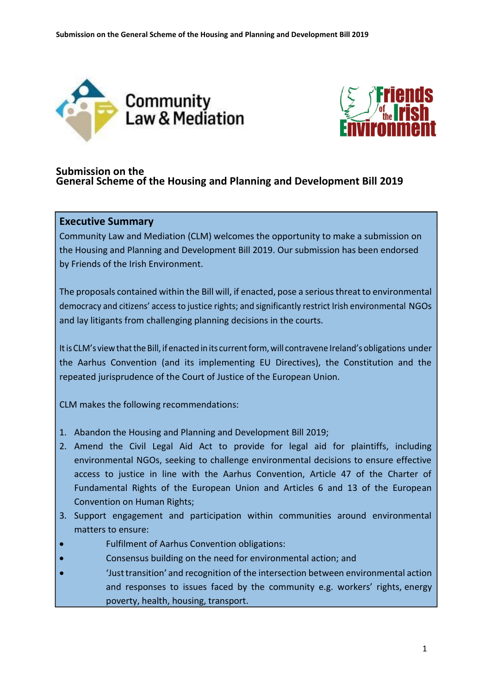



## **Submission on the General Scheme of the Housing and Planning and Development Bill 2019**

## **Executive Summary**

Community Law and Mediation (CLM) welcomes the opportunity to make a submission on the Housing and Planning and Development Bill 2019. Our submission has been endorsed by Friends of the Irish Environment.

The proposals contained within the Bill will, if enacted, pose a seriousthreatto environmental democracy and citizens' access to justice rights; and significantly restrict Irish environmental NGOs and lay litigants from challenging planning decisions in the courts.

It is CLM's view that the Bill, if enacted in its current form, will contravene Ireland's obligations under the Aarhus Convention (and its implementing EU Directives), the Constitution and the repeated jurisprudence of the Court of Justice of the European Union.

CLM makes the following recommendations:

- 1. Abandon the Housing and Planning and Development Bill 2019;
- 2. Amend the Civil Legal Aid Act to provide for legal aid for plaintiffs, including environmental NGOs, seeking to challenge environmental decisions to ensure effective access to justice in line with the Aarhus Convention, Article 47 of the Charter of Fundamental Rights of the European Union and Articles 6 and 13 of the European Convention on Human Rights;
- 3. Support engagement and participation within communities around environmental matters to ensure:
- Fulfilment of Aarhus Convention obligations:
- Consensus building on the need for environmental action; and
- 'Justtransition' and recognition of the intersection between environmental action and responses to issues faced by the community e.g. workers' rights, energy poverty, health, housing, transport.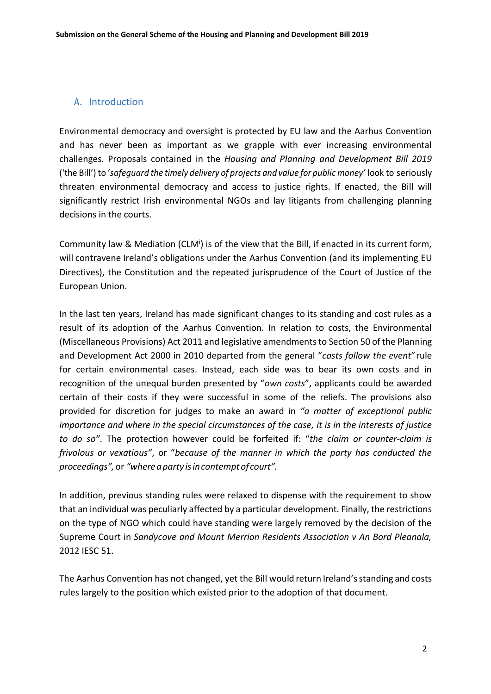## A. Introduction

Environmental democracy and oversight is protected by EU law and the Aarhus Convention and has never been as important as we grapple with ever increasing environmental challenges. Proposals contained in the *Housing and Planning and Development Bill 2019*  ('the Bill') to '*safeguard the timely delivery of projects and value for public money'* look to seriously threaten environmental democracy and access to justice rights. If enacted, the Bill will significantly restrict Irish environmental NGOs and lay litigants from challenging planning decisions in the courts.

Community law & Mediation (CLM<sup>i</sup>) is of the view that the Bill, if enacted in its current form, will contravene Ireland's obligations under the Aarhus Convention (and its implementing EU Directives), the Constitution and the repeated jurisprudence of the Court of Justice of the European Union.

In the last ten years, Ireland has made significant changes to its standing and cost rules as a result of its adoption of the Aarhus Convention. In relation to costs, the Environmental (Miscellaneous Provisions) Act 2011 and legislative amendmentsto Section 50 of the Planning and Development Act 2000 in 2010 departed from the general "*costs follow the event*"rule for certain environmental cases. Instead, each side was to bear its own costs and in recognition of the unequal burden presented by "*own costs*", applicants could be awarded certain of their costs if they were successful in some of the reliefs. The provisions also provided for discretion for judges to make an award in *"a matter of exceptional public importance and where in the special circumstances of the case, it is in the interests of justice to do so"*. The protection however could be forfeited if: "*the claim or counter-claim is frivolous or vexatious"*, or "*because of the manner in which the party has conducted the proceedings",*or *"whereaparty isincontempt of court".*

In addition, previous standing rules were relaxed to dispense with the requirement to show that an individual was peculiarly affected by a particular development. Finally, the restrictions on the type of NGO which could have standing were largely removed by the decision of the Supreme Court in *Sandycove and Mount Merrion Residents Association v An Bord Pleanala,*  2012 IESC 51.

The Aarhus Convention has not changed, yet the Bill would return Ireland'sstanding and costs rules largely to the position which existed prior to the adoption of that document.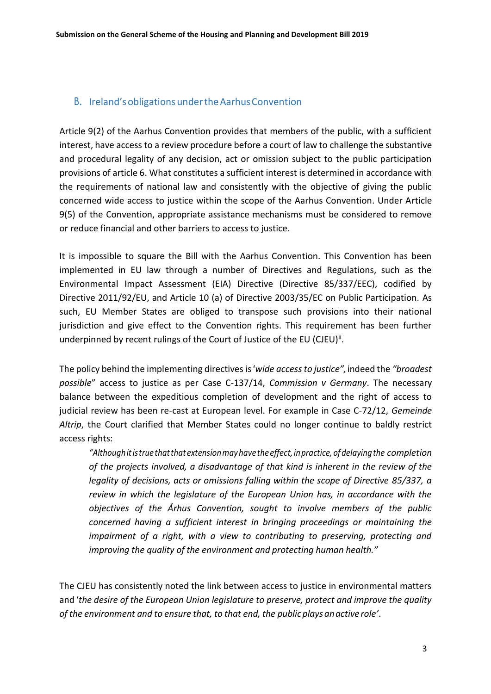## B. Ireland's obligations under the Aarhus Convention

Article 9(2) of the Aarhus Convention provides that members of the public, with a sufficient interest, have access to a review procedure before a court of law to challenge the substantive and procedural legality of any decision, act or omission subject to the public participation provisions of article 6. What constitutes a sufficient interest is determined in accordance with the requirements of national law and consistently with the objective of giving the public concerned wide access to justice within the scope of the Aarhus Convention. Under Article 9(5) of the Convention, appropriate assistance mechanisms must be considered to remove or reduce financial and other barriers to access to justice.

It is impossible to square the Bill with the Aarhus Convention. This Convention has been implemented in EU law through a number of Directives and Regulations, such as the Environmental Impact Assessment (EIA) Directive (Directive 85/337/EEC), codified by Directive 2011/92/EU, and Article 10 (a) of Directive 2003/35/EC on Public Participation. As such, EU Member States are obliged to transpose such provisions into their national jurisdiction and give effect to the Convention rights. This requirement has been further underpinned by recent rulings of the Court of Justice of the EU (CJEU)".

The policy behind the implementing directives is'*wide accessto justice",*indeed the *"broadest possible*" access to justice as per Case C-137/14, *Commission v Germany*. The necessary balance between the expeditious completion of development and the right of access to judicial review has been re-cast at European level. For example in Case C-72/12, *Gemeinde Altrip*, the Court clarified that Member States could no longer continue to baldly restrict access rights:

*"Althoughitistruethatthat extensionmayhavethe effect,inpractice, ofdelayingthe completion of the projects involved, a disadvantage of that kind is inherent in the review of the legality of decisions, acts or omissions falling within the scope of Directive 85/337, a review in which the legislature of the European Union has, in accordance with the objectives of the Århus Convention, sought to involve members of the public concerned having a sufficient interest in bringing proceedings or maintaining the impairment of a right, with a view to contributing to preserving, protecting and improving the quality of the environment and protecting human health."*

The CJEU has consistently noted the link between access to justice in environmental matters and '*the desire of the European Union legislature to preserve, protect and improve the quality of the environment and to ensure that, to that end, the publicplaysanactive role'*.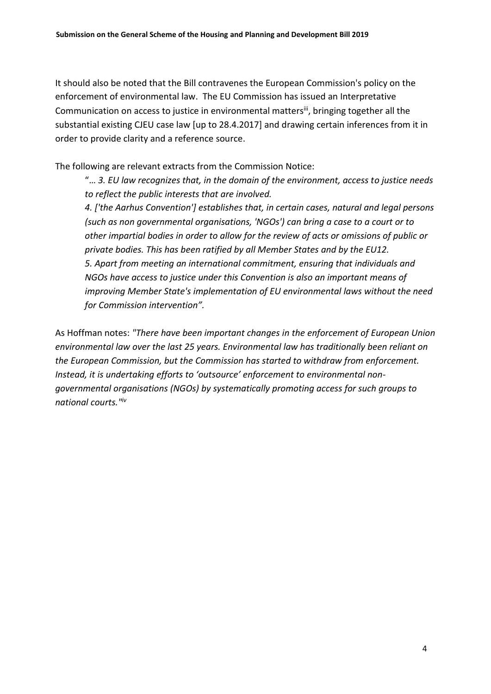It should also be noted that the Bill contravenes the European Commission's policy on the enforcement of environmental law. The EU Commission has issued an Interpretative Communication on access to justice in environmental mattersii, bringing together all the substantial existing CJEU case law [up to 28.4.2017] and drawing certain inferences from it in order to provide clarity and a reference source.

The following are relevant extracts from the Commission Notice:

"… *3. EU law recognizes that, in the domain of the environment, access to justice needs to reflect the public interests that are involved.* 

*4. ['the Aarhus Convention'] establishes that, in certain cases, natural and legal persons (such as non governmental organisations, 'NGOs') can bring a case to a court or to other impartial bodies in order to allow for the review of acts or omissions of public or private bodies. This has been ratified by all Member States and by the EU12. 5. Apart from meeting an international commitment, ensuring that individuals and NGOs have access to justice under this Convention is also an important means of improving Member State's implementation of EU environmental laws without the need for Commission intervention".*

As Hoffman notes: *"There have been important changes in the enforcement of European Union environmental law over the last 25 years. Environmental law has traditionally been reliant on the European Commission, but the Commission has started to withdraw from enforcement. Instead, it is undertaking efforts to 'outsource' enforcement to environmental nongovernmental organisations (NGOs) by systematically promoting access for such groups to national courts."iv*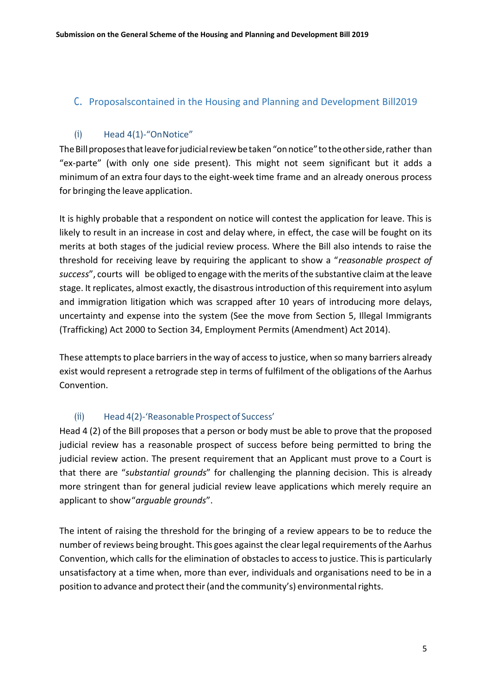## C. Proposalscontained in the Housing and Planning and Development Bill2019

## (i) Head 4(1)-"OnNotice"

The Bill proposes that leave for judicial review be taken "on notice" to the other side, rather than "ex-parte" (with only one side present). This might not seem significant but it adds a minimum of an extra four daysto the eight-week time frame and an already onerous process for bringing the leave application.

It is highly probable that a respondent on notice will contest the application for leave. This is likely to result in an increase in cost and delay where, in effect, the case will be fought on its merits at both stages of the judicial review process. Where the Bill also intends to raise the threshold for receiving leave by requiring the applicant to show a "*reasonable prospect of*  success", courts will be obliged to engage with the merits of the substantive claim at the leave stage. It replicates, almost exactly, the disastrous introduction of this requirement into asylum and immigration litigation which was scrapped after 10 years of introducing more delays, uncertainty and expense into the system (See the move from Section 5, Illegal Immigrants (Trafficking) Act 2000 to Section 34, Employment Permits (Amendment) Act 2014).

These attempts to place barriers in the way of access to justice, when so many barriers already exist would represent a retrograde step in terms of fulfilment of the obligations of the Aarhus Convention.

## (ii) Head 4(2)-'Reasonable Prospect of Success'

Head 4 (2) of the Bill proposes that a person or body must be able to prove that the proposed judicial review has a reasonable prospect of success before being permitted to bring the judicial review action. The present requirement that an Applicant must prove to a Court is that there are "*substantial grounds*" for challenging the planning decision. This is already more stringent than for general judicial review leave applications which merely require an applicant to show"*arguable grounds*".

The intent of raising the threshold for the bringing of a review appears to be to reduce the number of reviews being brought. This goes against the clear legal requirements of the Aarhus Convention, which calls for the elimination of obstacles to access to justice. This is particularly unsatisfactory at a time when, more than ever, individuals and organisations need to be in a position to advance and protect their (and the community's) environmental rights.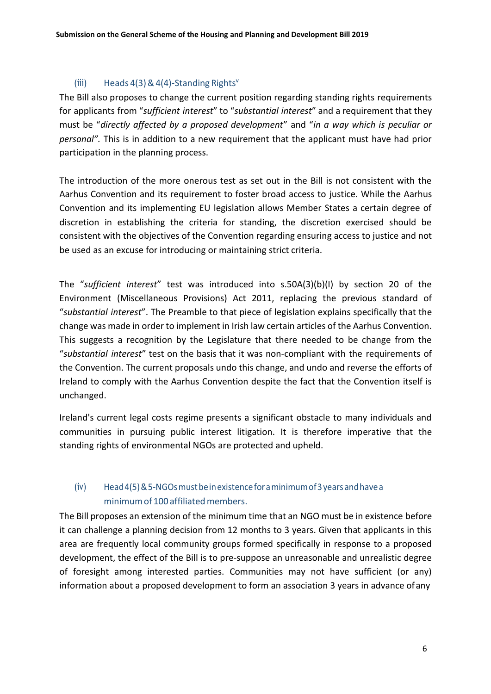## (iii) Heads  $4(3)$  &  $4(4)$ -Standing Rights<sup>v</sup>

The Bill also proposes to change the current position regarding standing rights requirements for applicants from "*sufficient interest*" to "*substantial interest*" and a requirement that they must be "*directly affected by a proposed development*" and "*in a way which is peculiar or personal".* This is in addition to a new requirement that the applicant must have had prior participation in the planning process.

The introduction of the more onerous test as set out in the Bill is not consistent with the Aarhus Convention and its requirement to foster broad access to justice. While the Aarhus Convention and its implementing EU legislation allows Member States a certain degree of discretion in establishing the criteria for standing, the discretion exercised should be consistent with the objectives of the Convention regarding ensuring access to justice and not be used as an excuse for introducing or maintaining strict criteria.

The "*sufficient interest*" test was introduced into s.50A(3)(b)(I) by section 20 of the Environment (Miscellaneous Provisions) Act 2011, replacing the previous standard of "*substantial interest*". The Preamble to that piece of legislation explains specifically that the change was made in order to implement in Irish law certain articles of the Aarhus Convention. This suggests a recognition by the Legislature that there needed to be change from the "*substantial interest*" test on the basis that it was non-compliant with the requirements of the Convention. The current proposals undo this change, and undo and reverse the efforts of Ireland to comply with the Aarhus Convention despite the fact that the Convention itself is unchanged.

Ireland's current legal costs regime presents a significant obstacle to many individuals and communities in pursuing public interest litigation. It is therefore imperative that the standing rights of environmental NGOs are protected and upheld.

# (iv) Head4(5)&5-NGOsmustbeinexistenceforaminimumof3yearsandhavea minimum of 100 affiliated members.

The Bill proposes an extension of the minimum time that an NGO must be in existence before it can challenge a planning decision from 12 months to 3 years. Given that applicants in this area are frequently local community groups formed specifically in response to a proposed development, the effect of the Bill is to pre-suppose an unreasonable and unrealistic degree of foresight among interested parties. Communities may not have sufficient (or any) information about a proposed development to form an association 3 years in advance ofany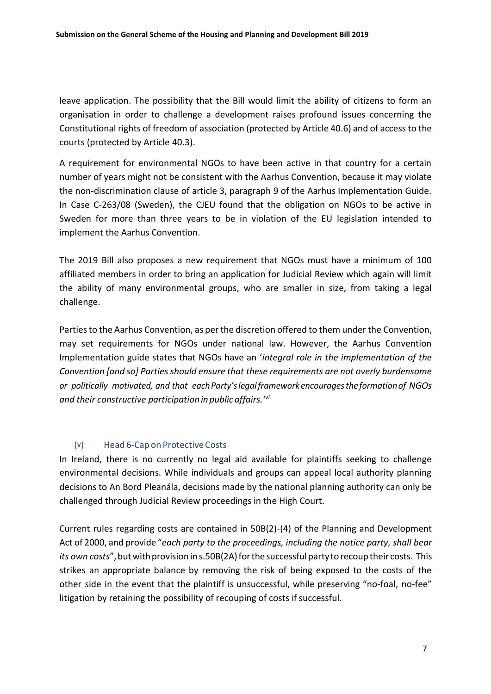leave application. The possibility that the Bill would limit the ability of citizens to form an organisation in order to challenge a development raises profound issues concerning the Constitutional rights of freedom of association (protected by Article 40.6) and of access to the courts (protected by Article 40.3).

A requirement for environmental NGOs to have been active in that country for a certain number of years might not be consistent with the Aarhus Convention, because it may violate the non-discrimination clause of article 3, paragraph 9 of the Aarhus Implementation Guide. In Case C-263/08 (Sweden), the CJEU found that the obligation on NGOs to be active in Sweden for more than three years to be in violation of the EU legislation intended to implement the Aarhus Convention.

The 2019 Bill also proposes a new requirement that NGOs must have a minimum of 100 affiliated members in order to bring an application for Judicial Review which again will limit the ability of many environmental groups, who are smaller in size, from taking a legal challenge.

Partiesto the Aarhus Convention, as perthe discretion offered to them under the Convention, may set requirements for NGOs under national law. However, the Aarhus Convention Implementation guide states that NGOs have an '*integral role in the implementation of the Convention [and so] Partiesshould ensure that these requirements are not overly burdensome or politically motivated, and that eachParty'slegalframeworkencouragesthe formationof NGOs and their constructive participationinpublic affairs.' vi*

## (v) Head 6-Cap on Protective Costs

In Ireland, there is no currently no legal aid available for plaintiffs seeking to challenge environmental decisions. While individuals and groups can appeal local authority planning decisions to An Bord Pleanála, decisions made by the national planning authority can only be challenged through Judicial Review proceedings in the High Court.

Current rules regarding costs are contained in 50B(2)-(4) of the Planning and Development Act of 2000, and provide "*each party to the proceedings, including the notice party, shall bear its own costs*", but with provision in s.50B(2A) for the successful party to recoup their costs. This strikes an appropriate balance by removing the risk of being exposed to the costs of the other side in the event that the plaintiff is unsuccessful, while preserving "no-foal, no-fee" litigation by retaining the possibility of recouping of costs if successful.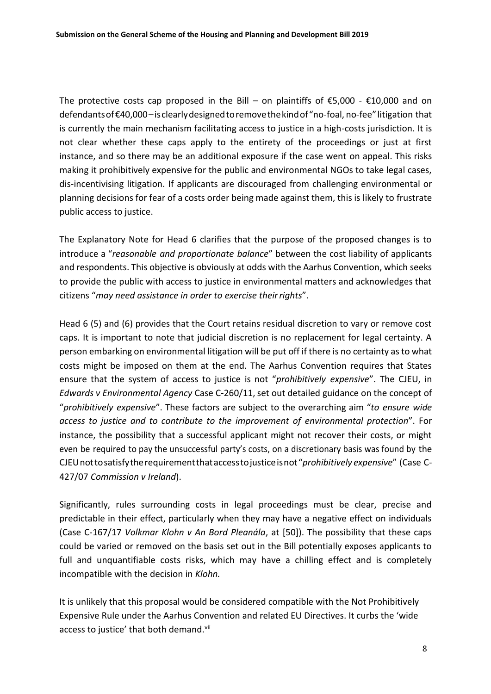The protective costs cap proposed in the Bill – on plaintiffs of  $\epsilon$ 5,000 -  $\epsilon$ 10,000 and on defendantsof€40,000–isclearlydesignedtoremovethekindof"no-foal, no-fee"litigation that is currently the main mechanism facilitating access to justice in a high-costs jurisdiction. It is not clear whether these caps apply to the entirety of the proceedings or just at first instance, and so there may be an additional exposure if the case went on appeal. This risks making it prohibitively expensive for the public and environmental NGOs to take legal cases, dis-incentivising litigation. If applicants are discouraged from challenging environmental or planning decisions for fear of a costs order being made against them, this is likely to frustrate public access to justice.

The Explanatory Note for Head 6 clarifies that the purpose of the proposed changes is to introduce a "*reasonable and proportionate balance*" between the cost liability of applicants and respondents. This objective is obviously at odds with the Aarhus Convention, which seeks to provide the public with access to justice in environmental matters and acknowledges that citizens "*may need assistance in order to exercise theirrights*".

Head 6 (5) and (6) provides that the Court retains residual discretion to vary or remove cost caps. It is important to note that judicial discretion is no replacement for legal certainty. A person embarking on environmental litigation will be put off if there is no certainty as to what costs might be imposed on them at the end. The Aarhus Convention requires that States ensure that the system of access to justice is not "*prohibitively expensive*". The CJEU, in *Edwards v Environmental Agency* Case C-260/11, set out detailed guidance on the concept of "*prohibitively expensive*". These factors are subject to the overarching aim "*to ensure wide access to justice and to contribute to the improvement of environmental protection*". For instance, the possibility that a successful applicant might not recover their costs, or might even be required to pay the unsuccessful party's costs, on a discretionary basis was found by the CJEUnottosatisfytherequirementthataccesstojusticeisnot"*prohibitively expensive*" (Case C-427/07 *Commission v Ireland*).

Significantly, rules surrounding costs in legal proceedings must be clear, precise and predictable in their effect, particularly when they may have a negative effect on individuals (Case C-167/17 *Volkmar Klohn v An Bord Pleanála*, at [50]). The possibility that these caps could be varied or removed on the basis set out in the Bill potentially exposes applicants to full and unquantifiable costs risks, which may have a chilling effect and is completely incompatible with the decision in *Klohn.*

It is unlikely that this proposal would be considered compatible with the Not Prohibitively Expensive Rule under the Aarhus Convention and related EU Directives. It curbs the 'wide access to justice' that both demand.<sup>vii</sup>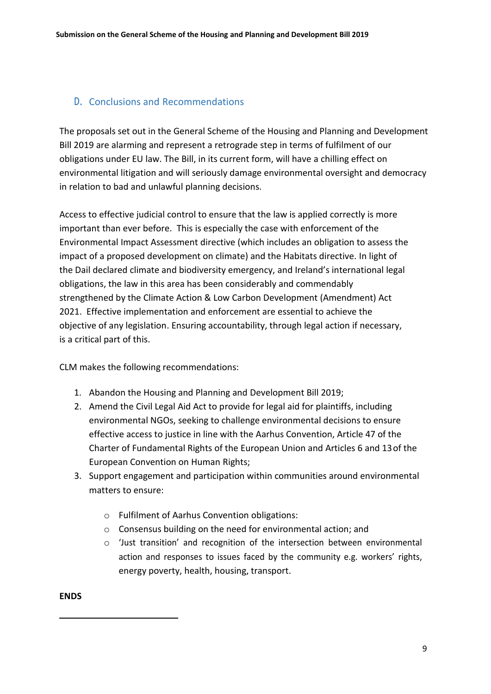## D. Conclusions and Recommendations

The proposals set out in the General Scheme of the Housing and Planning and Development Bill 2019 are alarming and represent a retrograde step in terms of fulfilment of our obligations under EU law. The Bill, in its current form, will have a chilling effect on environmental litigation and will seriously damage environmental oversight and democracy in relation to bad and unlawful planning decisions.

Access to effective judicial control to ensure that the law is applied correctly is more important than ever before. This is especially the case with enforcement of the Environmental Impact Assessment directive (which includes an obligation to assess the impact of a proposed development on climate) and the Habitats directive. In light of the Dail declared climate and biodiversity emergency, and Ireland's international legal obligations, the law in this area has been considerably and commendably strengthened by the Climate Action & Low Carbon Development (Amendment) Act 2021. Effective implementation and enforcement are essential to achieve the objective of any legislation. Ensuring accountability, through legal action if necessary, is a critical part of this.

CLM makes the following recommendations:

- 1. Abandon the Housing and Planning and Development Bill 2019;
- 2. Amend the Civil Legal Aid Act to provide for legal aid for plaintiffs, including environmental NGOs, seeking to challenge environmental decisions to ensure effective access to justice in line with the Aarhus Convention, Article 47 of the Charter of Fundamental Rights of the European Union and Articles 6 and 13of the European Convention on Human Rights;
- 3. Support engagement and participation within communities around environmental matters to ensure:
	- o Fulfilment of Aarhus Convention obligations:
	- o Consensus building on the need for environmental action; and
	- o 'Just transition' and recognition of the intersection between environmental action and responses to issues faced by the community e.g. workers' rights, energy poverty, health, housing, transport.

**ENDS**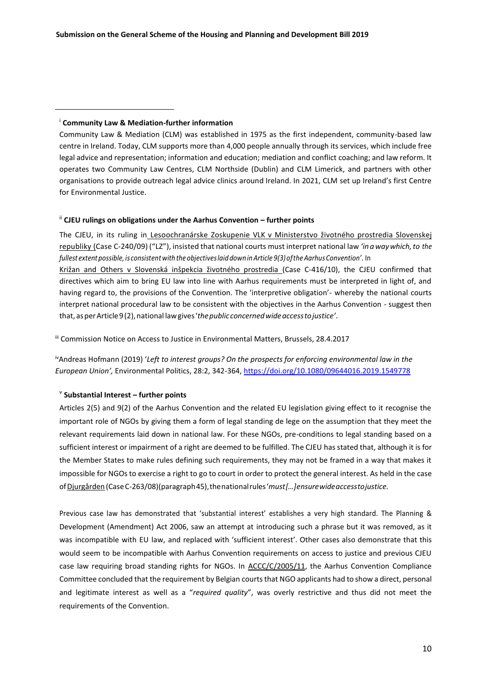### i **Community Law & Mediation-further information**

Community Law & Mediation (CLM) was established in 1975 as the first independent, community-based law centre in Ireland. Today, CLM supports more than 4,000 people annually through its services, which include free legal advice and representation; information and education; mediation and conflict coaching; and law reform. It operates two Community Law Centres, CLM Northside (Dublin) and CLM Limerick, and partners with other organisations to provide outreach legal advice clinics around Ireland. In 2021, CLM set up Ireland's first Centre for Environmental Justice.

### ii **CJEU rulings on obligations under the Aarhus Convention – further points**

The CJEU, in its ruling in Lesoochranárske Zoskupenie VLK v Ministerstvo životného prostredia Slovenskej republiky (Case C-240/09) ("LZ"), insisted that national courts must interpret national law *'in awaywhich,to the fullest extent possible, is consistentwiththeobjectiveslaid down inArticle 9(3)oftheAarhus Convention'*. In Križan and Others v Slovenská inšpekcia životného prostredia (Case C-416/10), the CJEU confirmed that directives which aim to bring EU law into line with Aarhus requirements must be interpreted in light of, and having regard to, the provisions of the Convention. The 'interpretive obligation'- whereby the national courts interpret national procedural law to be consistent with the objectives in the Aarhus Convention - suggest then that, asperArticle9(2),national lawgives'*thepublicconcernedwideaccesstojustice'*.

III Commission Notice on Access to Justice in Environmental Matters, Brussels, 28.4.2017

ivAndreas Hofmann (2019) '*Left to interest groups? On the prospects for enforcing environmental law in the European Union',* Environmental Politics, 28:2, 342-364[, https://doi.org/10.1080/09644016.2019.1549778](https://eur02.safelinks.protection.outlook.com/?url=https%3A%2F%2Fdoi.org%2F10.1080%2F09644016.2019.1549778&data=04%7C01%7CRWall%40communitylawandmediation.ie%7C67573b9ff6734ffcff5d08d9d41e3c05%7C2270fb3f12be4a658daad85b5b4e3191%7C1%7C0%7C637774048578447085%7CUnknown%7CTWFpbGZsb3d8eyJWIjoiMC4wLjAwMDAiLCJQIjoiV2luMzIiLCJBTiI6Ik1haWwiLCJXVCI6Mn0%3D%7C3000&sdata=z0Z7MiAfzjILXmk2Ez6Eug8pUAxOEJVPom9ATM0AxLo%3D&reserved=0)

### v **Substantial Interest – further points**

Articles 2(5) and 9(2) of the Aarhus Convention and the related EU legislation giving effect to it recognise the important role of NGOs by giving them a form of legal standing de lege on the assumption that they meet the relevant requirements laid down in national law. For these NGOs, pre-conditions to legal standing based on a sufficient interest or impairment of a right are deemed to be fulfilled. The CJEU has stated that, although it is for the Member States to make rules defining such requirements, they may not be framed in a way that makes it impossible for NGOs to exercise a right to go to court in order to protect the general interest. As held in the case ofDjurgården (CaseC-263/08)(paragraph45),thenationalrules'*must[…]ensurewideaccesstojustice.*

Previous case law has demonstrated that 'substantial interest' establishes a very high standard. The Planning & Development (Amendment) Act 2006, saw an attempt at introducing such a phrase but it was removed, as it was incompatible with EU law, and replaced with 'sufficient interest'. Other cases also demonstrate that this would seem to be incompatible with Aarhus Convention requirements on access to justice and previous CJEU case law requiring broad standing rights for NGOs. In ACCC/C/2005/11, the Aarhus Convention Compliance Committee concluded that the requirement by Belgian courts that NGO applicants had to show a direct, personal and legitimate interest as well as a "*required quality*", was overly restrictive and thus did not meet the requirements of the Convention.